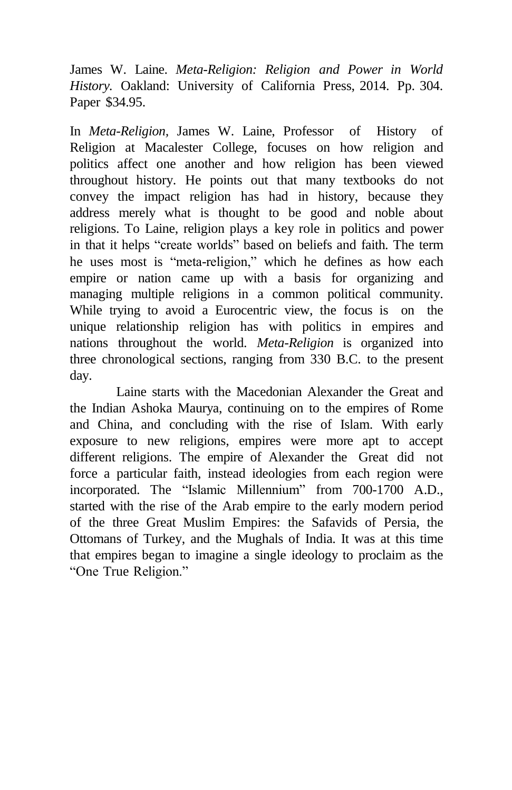James W. Laine. *Meta-Religion: Religion and Power in World History.* Oakland: University of California Press, 2014. Pp. 304. Paper \$34.95.

In *Meta-Religion,* James W. Laine, Professor of History of Religion at Macalester College, focuses on how religion and politics affect one another and how religion has been viewed throughout history. He points out that many textbooks do not convey the impact religion has had in history, because they address merely what is thought to be good and noble about religions. To Laine, religion plays a key role in politics and power in that it helps "create worlds" based on beliefs and faith. The term he uses most is "meta-religion," which he defines as how each empire or nation came up with a basis for organizing and managing multiple religions in a common political community. While trying to avoid a Eurocentric view, the focus is on the unique relationship religion has with politics in empires and nations throughout the world. *Meta-Religion* is organized into three chronological sections, ranging from 330 B.C. to the present day.

Laine starts with the Macedonian Alexander the Great and the Indian Ashoka Maurya, continuing on to the empires of Rome and China, and concluding with the rise of Islam. With early exposure to new religions, empires were more apt to accept different religions. The empire of Alexander the Great did not force a particular faith, instead ideologies from each region were incorporated. The "Islamic Millennium" from 700-1700 A.D., started with the rise of the Arab empire to the early modern period of the three Great Muslim Empires: the Safavids of Persia, the Ottomans of Turkey, and the Mughals of India. It was at this time that empires began to imagine a single ideology to proclaim as the "One True Religion."